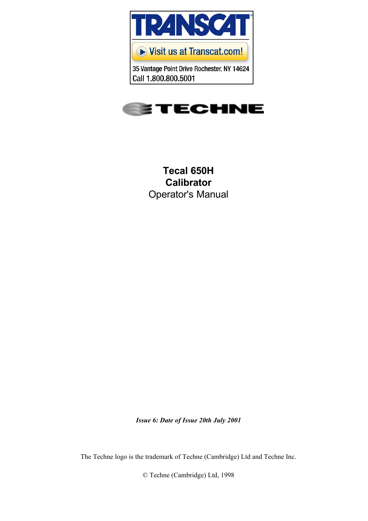

35 Vantage Point Drive Rochester, NY 14624 Call 1.800.800.5001



**Tecal 650H Calibrator** Operator's Manual

*Issue 6: Date of Issue 20th July 2001*

The Techne logo is the trademark of Techne (Cambridge) Ltd and Techne Inc.

© Techne (Cambridge) Ltd, 1998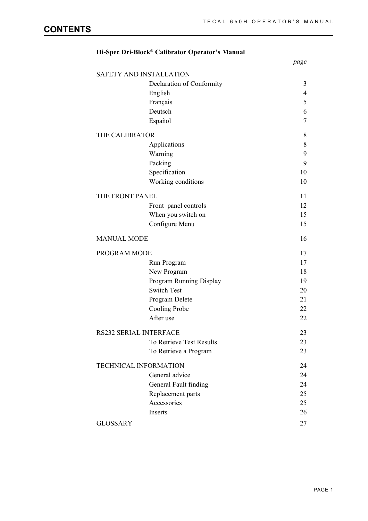# *page* SAFETY AND INSTALLATION Declaration of Conformity 3 English 4 Français 5 Deutsch 6 Español 7 THE CALIBRATOR 8 Applications 8 Warning 9 Packing 9 Specification 10 Working conditions 10 THE FRONT PANEL 11 Front panel controls 12 When you switch on 15 Configure Menu 15 MANUAL MODE 16 PROGRAM MODE 17 Run Program 17 New Program 18 Program Running Display 19 Switch Test 20 Program Delete 21 Cooling Probe 22 After use 22 RS232 SERIAL INTERFACE 23 To Retrieve Test Results 23 To Retrieve a Program 23 TECHNICAL INFORMATION 24 General advice 24 General Fault finding 24 Replacement parts 25 Accessories 25 Inserts 26 GLOSSARY 27

## **Hi-Spec Dri-Block® Calibrator Operator's Manual**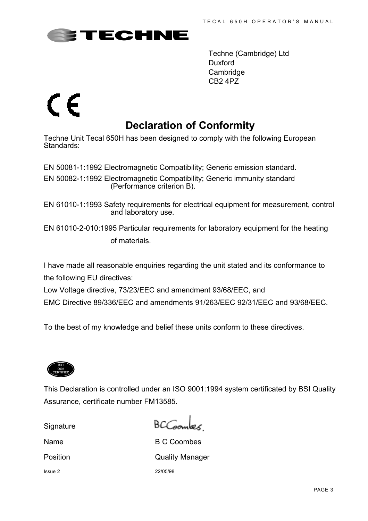

Techne (Cambridge) Ltd Duxford **Cambridge** CB2 4PZ

# CE

# **Declaration of Conformity**

Techne Unit Tecal 650H has been designed to comply with the following European Standards:

EN 50081-1:1992 Electromagnetic Compatibility; Generic emission standard.

EN 50082-1:1992 Electromagnetic Compatibility; Generic immunity standard (Performance criterion B).

EN 61010-1:1993 Safety requirements for electrical equipment for measurement, control and laboratory use.

EN 61010-2-010:1995 Particular requirements for laboratory equipment for the heating of materials.

I have made all reasonable enquiries regarding the unit stated and its conformance to the following EU directives:

Low Voltage directive, 73/23/EEC and amendment 93/68/EEC, and

EMC Directive 89/336/EEC and amendments 91/263/EEC 92/31/EEC and 93/68/EEC.

To the best of my knowledge and belief these units conform to these directives.



This Declaration is controlled under an ISO 9001:1994 system certificated by BSI Quality Assurance, certificate number FM13585.

**Signature** 

 $BCG$ 

Name B C Coombes Position **Quality Manager** Issue 2 22/05/98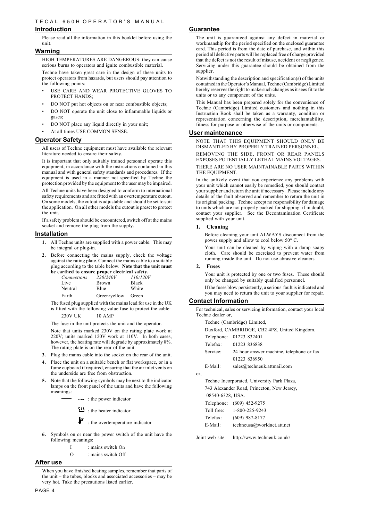#### **Introduction**

Please read all the information in this booklet before using the unit.

#### **Warning**

HIGH TEMPERATURES ARE DANGEROUS: they can cause serious burns to operators and ignite combustible material.

Techne have taken great care in the design of these units to protect operators from hazards, but users should pay attention to the following points:

- USE CARE AND WEAR PROTECTIVE GLOVES TO PROTECT HANDS;
- DO NOT put hot objects on or near combustible objects;
- DO NOT operate the unit close to inflammable liquids or gases;
- DO NOT place any liquid directly in your unit;
- At all times USE COMMON SENSE.

#### **Operator Safety**

All users of Techne equipment must have available the relevant literature needed to ensure their safety.

It is important that only suitably trained personnel operate this equipment, in accordance with the instructions contained in this manual and with general safety standards and procedures. If the equipment is used in a manner not specified by Techne the protection provided by the equipment to the user may be impaired.

All Techne units have been designed to conform to international safety requirements and are fitted with an overtemperature cutout. On some models, the cutout is adjustable and should be set to suit the application. On all other models the cutout is preset to protect the unit.

If a safety problem should be encountered, switch off at the mains socket and remove the plug from the supply.

#### **Installation**

- **1.** All Techne units are supplied with a power cable. This may be integral or plug-in.
- **2.** Before connecting the mains supply, check the voltage against the rating plate. Connect the mains cable to a suitable plug according to the table below. **Note that the unit must be earthed to ensure proper electrical safety.**

| Connections | 220/240V     | 110/120V     |
|-------------|--------------|--------------|
| Live        | <b>Brown</b> | <b>Black</b> |
| Neutral     | Blue         | White        |
| Earth       | Green/yellow | Green        |

The fused plug supplied with the mains lead for use in the UK is fitted with the following value fuse to protect the cable: 230V UK 10 AMP

The fuse in the unit protects the unit and the operator.

Note that units marked 230V on the rating plate work at 220V; units marked 120V work at 110V. In both cases, however, the heating rate will degrade by approximately 8%. The rating plate is on the rear of the unit.

- **3.** Plug the mains cable into the socket on the rear of the unit.
- **4.** Place the unit on a suitable bench or flat workspace, or in a fume cupboard if required, ensuring that the air inlet vents on the underside are free from obstruction.
- **5.** Note that the following symbols may be next to the indicator lamps on the front panel of the units and have the following meanings:
	- $\rightarrow$  : the power indicator

ith : the heater indicator

 $\blacktriangleright$  : the overtemperature indicator

- **6.** Symbols on or near the power switch of the unit have the following meanings:
	- I : mains switch On
	- O : mains switch Off

#### **After use**

When you have finished heating samples, remember that parts of the unit – the tubes, blocks and associated accessories – may be very hot. Take the precautions listed earlier.

#### **Guarantee**

The unit is guaranteed against any defect in material or workmanship for the period specified on the enclosed guarantee card. This period is from the date of purchase, and within this period all defective parts will be replaced free of charge provided that the defect is not the result of misuse, accident or negligence. Servicing under this guarantee should be obtained from the supplier.

Notwithstanding the description and specification(s) of the units contained in the Operator's Manual, Techne (Cambridge) Limited hereby reserves the right to make such changes as it sees fit to the units or to any component of the units.

This Manual has been prepared solely for the convenience of Techne (Cambridge) Limited customers and nothing in this Instruction Book shall be taken as a warranty, condition or representation concerning the description, merchantability, fitness for purpose or otherwise of the units or components.

#### **User maintenance**

NOTE THAT THIS EQUIPMENT SHOULD ONLY BE DISMANTLED BY PROPERLY TRAINED PERSONNEL.

REMOVING THE SIDE, FRONT OR REAR PANELS EXPOSES POTENTIALLY LETHAL MAINS VOLTAGES.

THERE ARE NO USER MAINTAINABLE PARTS WITHIN THE EQUIPMENT.

In the unlikely event that you experience any problems with your unit which cannot easily be remedied, you should contact your supplier and return the unit if necessary. Please include any details of the fault observed and remember to return the unit in its original packing. Techne accept no responsibility for damage to units which are not properly packed for shipping: if in doubt, contact your supplier. See the Decontamination Certificate supplied with your unit.

#### **1. Cleaning**

Before cleaning your unit ALWAYS disconnect from the power supply and allow to cool below 50° C.

Your unit can be cleaned by wiping with a damp soapy cloth. Care should be exercised to prevent water from running inside the unit. Do not use abrasive cleaners.

#### **2. Fuses**

Your unit is protected by one or two fuses. These should only be changed by suitably qualified personnel.

If the fuses blow persistently, a serious fault is indicated and you may need to return the unit to your supplier for repair.

#### **Contact Information**

For technical, sales or servicing information, contact your local Techne dealer or,

Techne (Cambridge) Limited,

Duxford, CAMBRIDGE, CB2 4PZ, United Kingdom.

- Telefax: 01223 836838
- Service: 24 hour answer machine, telephone or fax 01223 836950
- E-Mail: sales@techneuk.attmail.com

or,

Techne Incorporated, University Park Plaza, 743 Alexander Road, Princeton, New Jersey, 08540-6328, USA.

|            | Telephone: (609) 452-9275  |
|------------|----------------------------|
| Toll free: | 1-800-225-9243             |
| Telefax:   | $(609)$ 987-8177           |
| E-Mail:    | techneusa@worldnet.att.net |

Joint web site: http://www.techneuk.co.uk/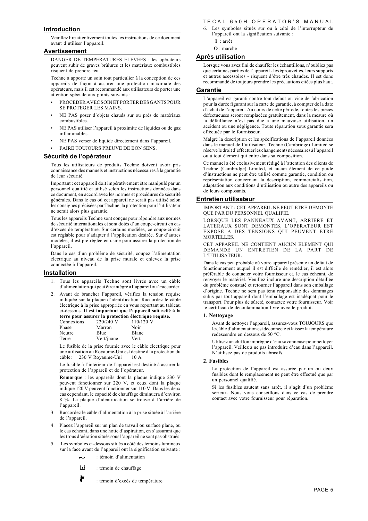#### **Introduction**

Veuillez lire attentivement toutes les instructions de ce document avant d'utiliser l'appareil.

#### **Avertissement**

DANGER DE TEMPERATURES ELEVEES : les opérateurs peuvent subir de graves brûlures et les matériaux combustibles risquent de prendre feu.

Techne a apporté un soin tout particulier à la conception de ces appareils de façon à assurer une protection maximale des opérateurs, mais il est recommandé aux utilisateurs de porter une attention spéciale aux points suivants :

- PROCEDER AVEC SOIN ET PORTER DES GANTS POUR SE PROTEGER LES MAINS.
- NE PAS poser d'objets chauds sur ou près de matériaux combustibles.
- NE PAS utiliser l'appareil à proximité de liquides ou de gaz inflammables.
- NE PAS verser de liquide directement dans l'appareil.
- FAIRE TOUJOURS PREUVE DE BON SENS.

#### **Sécurité de l'opérateur**

Tous les utilisateurs de produits Techne doivent avoir pris connaissance des manuels et instructions nécessaires à la garantie de leur sécurité.

Important : cet appareil doit impérativement être manipulé par un personnel qualifié et utilisé selon les instructions données dans ce document, en accord avec les normes et procédures de sécurité générales. Dans le cas où cet appareil ne serait pas utilisé selon les consignes précisées par Techne, la protection pour l'utilisateur ne serait alors plus garantie.

Tous les appareils Techne sont conçus pour répondre aux normes de sécurité internationales et sont dotés d'un coupe-circuit en cas d'excès de température. Sur certains modèles, ce coupe-circuit est réglable pour s'adapter à l'application désirée. Sur d'autres modèles, il est pré-réglée en usine pour assurer la protection de l'appareil.

Dans le cas d'un problème de sécurité, coupez l'alimentation électrique au niveau de la prise murale et enlevez la prise connectée à l'appareil.

#### **Installation**

- 1. Tous les appareils Techne sont livrés avec un câble d'alimentation qui peut être intégré à l'appareil ou à raccorder.
- 2. Avant de brancher l'appareil, vérifiez la tension requise indiquée sur la plaque d'identification. Raccordez le câble électrique à la prise appropriée en vous reportant au tableau ci-dessous. **Il est important que l'appareil soit relié à la terre pour assurer la protection électrique requise.**

| Connexions | 220/240 V  | $110/120$ V |
|------------|------------|-------------|
| Phase      | Marron     | Noir        |
| Neutre     | Blue       | Blanc       |
| Terre      | Vert/juane | Vert        |
|            |            |             |

Le fusible de la prise fournie avec le câble électrique pour une utilisation au Royaume-Uni est destiné à la protection du câble: 230 V Royaume-Uni 10 A

Le fusible à l'intérieur de l'appareil est destiné à assurer la protection de l'appareil et de l'opérateur.

**Remarque** : les appareils dont la plaque indique 230 V peuvent fonctionner sur 220 V, et ceux dont la plaque indique 120 V peuvent fonctionner sur 110 V. Dans les deux cas cependant, le capacité de chauffage diminuera d'environ 8 %. La plaque d'identification se trouve à l'arrière de l'appareil.

- 3. Raccordez le câble d'alimentation à la prise située à l'arrière de l'appareil.
- 4. Placez l'appareil sur un plan de travail ou surface plane, ou le cas échéant, dans une hotte d'aspiration, en s'assurant que les trous d'aération situés sous l'appareil ne sont pas obstrués.
- 5. Les symboles ci-dessous situés à côté des témoins lumineux sur la face avant de l'appareil ont la signification suivante :
	- : témoin d'alimentation
	- LV. : témoin de chauffage
	- È : témoin d'excès de température

#### T F C A L 6 5 0 H O P E R A T O R'S MANUAL

- 6. Les symboles situés sur ou à côté de l'interrupteur de l'appareil ont la signification suivante : **I** : arrêt
	- **O** : marche
	-

## **Après utilisation**

Lorsque vous avez fini de chauffer les échantillons, n'oubliez pas que certaines parties de l'appareil - les éprouvettes, leurs supports et autres accessoires - risquent d'être très chaudes. Il est donc recommandé de toujours prendre les précautions citées plus haut.

#### **Garantie**

L'appareil est garanti contre tout défaut ou vice de fabrication pour la durée figurant sur la carte de garantie, à compter de la date d'achat de l'appareil. Au cours de cette période, toutes les pièces défectueuses seront remplacées gratuitement, dans la mesure où la défaillance n'est pas due à une mauvaise utilisation, un accident ou une négligence. Toute réparation sous garantie sera effectuée par le fournisseur.

Malgré la description et les spécifications de l'appareil données dans le manuel de l'utilisateur, Techne (Cambridge) Limited se réserve le droit d'effectuer les changements nécessaires à l'appareil ou à tout élément qui entre dans sa composition.

Ce manuel a été exclusivement rédigé à l'attention des clients de Techne (Cambridge) Limited, et aucun élément de ce guide d'instructions ne peut être utilisé comme garantie, condition ou représentation concernant la description, commercialisation, adaptation aux conditions d'utilisation ou autre des appareils ou de leurs composants.

#### **Entretien utilisateur**

IMPORTANT : CET APPAREIL NE PEUT ETRE DEMONTE QUE PAR DU PERSONNEL QUALIFIE.

LORSQUE LES PANNEAUX AVANT, ARRIERE ET LATERAUX SONT DEMONTES, L'OPERATEUR EST EXPOSE A DES TENSIONS QUI PEUVENT ETRE MORTELLES.

CET APPAREIL NE CONTIENT AUCUN ELEMENT QUI DEMANDE UN ENTRETIEN DE LA PART DE L'UTILISATEUR.

Dans le cas peu probable où votre appareil présente un défaut de fonctionnement auquel il est difficile de remédier, il est alors préférable de contacter votre fournisseur et, le cas échéant, de renvoyer le matériel. Veuillez inclure une description détaillée du problème constaté et retourner l'appareil dans son emballage d'origine. Techne ne sera pas tenu responsable des dommages subis par tout appareil dont l'emballage est inadéquat pour le transport. Pour plus de sûreté, contactez votre fournisseur. Voir le certificat de décontamination livré avec le produit.

#### **1. Nettoyage**

Avant de nettoyer l'appareil, assurez-vous TOUJOURS que le câble d'alimentation est déconnecté et laissez la température redescendre en dessous de 50 °C.

Utilisez un chiffon imprégné d'eau savonneuse pour nettoyer l'appareil. Veillez à ne pas introduire d'eau dans l'appareil. N'utilisez pas de produits abrasifs.

#### **2. Fusibles**

La protection de l'appareil est assurée par un ou deux fusibles dont le remplacement ne peut être effectué que par un personnel qualifié.

Si les fusibles sautent sans arrêt, il s'agit d'un problème sérieux. Nous vous conseillons dans ce cas de prendre contact avec votre fournisseur pour réparation.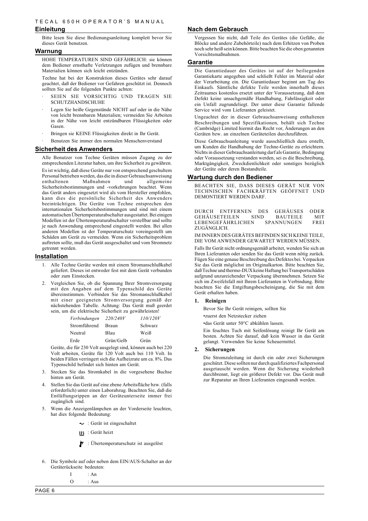#### **Einleitung**

Bitte lesen Sie diese Bedienungsanleitung komplett bevor Sie dieses Gerät benutzen.

#### **Warnung**

HOHE TEMPERATUREN SIND GEFÄHRLICH: sie können dem Bediener ernsthafte Verletzungen zufügen und brennbare Materialien können sich leicht entzünden.

Techne hat bei der Konstruktion dieses Gerätes sehr darauf geachtet, daß der Bediener vor Gefahren geschützt ist. Dennoch sollten Sie auf die folgenden Punkte achten:

- SEIEN SIE VORSICHTIG UND TRAGEN SIE SCHUTZHANDSCHUHE
- Legen Sie heiße Gegenstände NICHT auf oder in die Nähe von leicht brennbaren Materialien; vermeiden Sie Arbeiten in der Nähe von leicht entzündbaren Flüssigkeiten oder Gasen.
- Bringen sie KEINE Flüssigkeiten direkt in Ihr Gerät.
- · Benutzen Sie immer den normalen Menschenverstand

#### **Sicherheit des Anwenders**

Alle Benutzer von Techne Geräten müssen Zugang zu der entsprechenden Literatur haben, um ihre Sicherheit zu gewähren.

Es ist wichtig, daß diese Geräte nur von entsprechend geschultem Personal betrieben werden, das die in dieser Gebrauchsanweisung enthaltenen Maßnahmen und allgemeine Sicherheitsbestimmungen und -vorkehrungen beachtet. Wenn das Gerät anders eingesetzt wird als vom Hersteller empfohlen, kann dies die persönliche Sicherheit des Anwenders beeinträchtigen. Die Geräte von Techne entsprechen den internationalen Sicherheitsbestimmungen und sind mit einem automatischen Übertemperaturabschalter ausgestattet. Bei einigen Modellen ist der Übertemperaturabschalter verstellbar und sollte je nach Anwendung entsprechend eingestellt werden. Bei allen anderen Modellen ist der Temperaturschutz voreingestellt um Schäden am Gerät zu vermeiden. Wenn ein Sicherheitsproblem auftreten sollte, muß das Gerät ausgeschaltet und vom Stromnetz getrennt werden.

#### **Installation**

- 1. Alle Techne Geräte werden mit einem Stromanschlußkabel geliefert. Dieses ist entweder fest mit dem Gerät verbunden oder zum Einstecken.
- 2. Vergleichen Sie, ob die Spannung Ihrer Stromversorgung mit den Angaben auf dem Typenschild des Geräte übereinstimmen. Verbinden Sie das Stromanschlußkabel mit einer geeigneten Stromversorgung gemäß der nächstehenden Tabelle. Achtung: Das Gerät muß geerdet sein, um die elektrische Sicherheit zu gewährleisten!

| Verbindungen | 220/240V     | 110/120V |
|--------------|--------------|----------|
| Stromführend | <b>Braun</b> | Schwarz  |
| Neutral      | Blau         | Weiß     |
| Erde         | Grün/Gelb    | Grün     |

Geräte, die für 230 Volt ausgelegt sind, können auch bei 220 Volt arbeiten, Geräte für 120 Volt auch bei 110 Volt. In beiden Fällen verringert sich die Aufheizrate um ca. 8%. Das Typenschild befindet sich hinten am Gerät.

- 3. Stecken Sie das Stromkabel in die vorgesehene Buchse hinten am Gerät.
- 4. Stellen Sie das Gerät auf eine ebene Arbeitsfläche bzw. (falls erforderlich) unter einen Laborabzug. Beachten Sie, daß die Entlüftungsrippen an der Geräteunterseite immer frei zugänglich sind.
- 5. Wenn die Anzeigenlämpchen an der Vorderseite leuchten, hat dies folgende Bedeutung:
	- Gerät ist eingeschaltet
	- : Gerät heizt
	- : Übertemperaturschutz ist ausgelöst

Die Garantiedauer des Gerätes ist auf der beiliegenden Garantiekarte angegeben und schließt Fehler im Material oder der Verarbeitung ein. Die Garantiedauer beginnt am Tag des Einkaufs. Sämtliche defekte Teile werden innerhalb dieses Zeitraumes kostenlos ersetzt unter der Voraussetzung, daß dem Defekt keine unsachgemäße Handhabung, Fahrlässigkeit oder ein Unfall zugrundeliegt. Der unter diese Garantie fallende Service wird vom Lieferanten geleistet.

Vergessen Sie nicht, daß Teile des Gerätes (die Gefäße, die Blöcke und andere Zubehörteile) nach dem Erhitzen von Proben noch sehr heiß sein können. Bitte beachten Sie die oben genannten

Ungeachtet der in dieser Gebrauchsanweisung enthaltenen Beschreibungen und Spezifikationen, behält sich Techne (Cambridge) Limited hiermit das Recht vor, Änderungen an den Geräten bzw. an einzelnen Geräteteilen durchzuführen.

Diese Gebrauchsanleitung wurde ausschließlich dazu erstellt, um Kunden die Handhabung der Techne-Geräte zu erleichtern. Nichts in dieser Gebrauchsanleitung darf als Garantie, Bedingung oder Voraussetzung verstanden werden, sei es die Beschreibung, Marktgängigkeit, Zweckdienlichkeit oder sonstiges bezüglich der Geräte oder deren Bestandteile.

#### **Wartung durch den Bediener**

**Nach dem Gebrauch**

Vorsichtsmaßnahmen.

**Garantie**

BEACHTEN SIE, DASS DIESES GERÄT NUR VON TECHNISCHEN FACHKRÄFTEN GEÖFFNET UND DEMONTIERT WERDEN DARF.

DURCH ENTFERNEN DES GEHÄUSES ODER<br>GEHÄUSETEILEN SIND BAUTEILE MIT GEHÄUSETEILEN SIND BAUTEILE MIT<br>LEBENGEFÄHRLICHEN SPANNUNGEN FREI LEBENGEFÄHRLICHEN ZUGÄNGLICH.

IM INNERN DES GERÄTES BEFINDEN SICH KEINE TEILE, DIE VOM ANWENDER GEWARTET WERDEN MÜSSEN.

Falls Ihr Gerät nicht ordnungsgemäß arbeitet, wenden Sie sich an Ihren Lieferanten oder senden Sie das Gerät wenn nötig zurück. Fügen Sie eine genaue Beschreibung des Defektes bei. Verpacken Sie das Gerät möglichst im Originalkarton. Bitte beachten Sie, daß Techne und thermo-DUX keine Haftung bei Transportschäden aufgrund unzureichender Verpackung übernnehmen. Setzen Sie sich im Zweifelsfall mit Ihrem Lieferanten in Verbindung. Bitte beachten Sie die Entgiftungsbescheinigung, die Sie mit dem Gerät erhalten haben.

#### **1. Reinigen**

Bevor Sie Ihr Gerät reinigen, sollten Sie

•zuerst den Netzstecker ziehen

•das Gerät unter 50°C abkühlen lassen.

Ein feuchtes Tuch mit Seifenlösung reinigt Ihr Gerät am besten. Achten Sie darauf, daß kein Wasser in das Gerät gelangt. Verwenden Sie keine Scheuermittel.

#### **2. Sicherungen**

Die Stromzuleitung ist durch ein oder zwei Sicherungen geschützt. Diese sollten nur durch qualifiziertes Fachpersonal ausgetauscht werden. Wenn die Sicherung wiederholt durchbrennt, liegt ein größerer Defekt vor. Das Gerät muß zur Reparatur an Ihren Lieferanten eingesandt werden.

- 6. Die Symbole auf oder neben dem EIN/AUS-Schalter an der Geräterückseite bedeuten:
	- $I \tA n$ 
		- $O \qquad \cdot$  Aus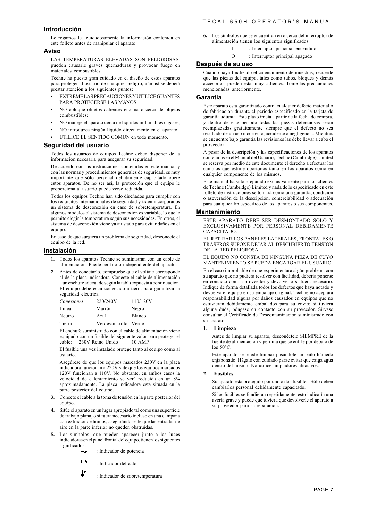#### **Introducción**

Le rogamos lea cuidadosamente la información contenida en este folleto antes de manipular el aparato.

#### **Aviso**

LAS TEMPERATURAS ELEVADAS SON PELIGROSAS: pueden causarle graves quemaduras y provocar fuego en materiales combustibles.

Techne ha puesto gran cuidado en el diseño de estos aparatos para proteger al usuario de cualquier peligro; aún así se deberá prestar atención a los siguientes puntos:

- EXTREME LAS PRECAUCIONES Y UTILICE GUANTES PARA PROTEGERSE LAS MANOS;
- NO coloque objetos calientes encima o cerca de objetos combustibles;
- NO maneje el aparato cerca de líquidos inflamables o gases;
- NO introduzca ningún líquido directamente en el aparato;
- UTILICE EL SENTIDO COMUN en todo momento.

#### **Seguridad del usuario**

Todos los usuarios de equipos Techne deben disponer de la información necesaria para asegurar su seguridad.

De acuerdo con las instrucciones contenidas en este manual y con las normas y procedimientos generales de seguridad, es muy importante que sólo personal debidamente capacitado opere estos aparatos. De no ser así, la protección que el equipo le proporciona al usuario puede verse reducida.

Todos los equipos Techne han sido diseñados para cumplir con los requisitos internacionales de seguridad y traen incorporados un sistema de desconexión en caso de sobretemperatura. En algunos modelos el sistema de desconexión es variable, lo que le permite elegir la temperatura según sus necesidades. En otros, el sistema de desconexión viene ya ajustado para evitar daños en el equino.

En caso de que surgiera un problema de seguridad, desconecte el equipo de la red.

#### **Instalación**

- **1.** Todos los aparatos Techne se suministran con un cable de alimentación. Puede ser fijo o independiente del aparato.
- **2.** Antes de conectarlo, compruebe que el voltaje corresponde al de la placa indicadora. Conecte el cable de alimentación a un enchufe adecuado según la tabla expuesta a continuación. El equipo debe estar conectado a tierra para garantizar la seguridad eléctrica.

| Conexiones | 220/240V             | 110/120V |
|------------|----------------------|----------|
| Linea      | Marrón               | Negro    |
| Neutro     | Azul                 | Blanco   |
| Tierra     | Verde/amarillo Verde |          |

El enchufe suministrado con el cable de alimentación viene equipado con un fusible del siguiente valor para proteger el cable: 230V Reino Unido 10 AMP

El fusible una vez instalado protege tanto al equipo como al usuario.

Asegúrese de que los equipos marcados 230V en la placa indicadora funcionan a 220V y de que los equipos marcados 120V funcionan a 110V. No obstante, en ambos casos la velocidad de calentamiento se verá reducida en un 8% aproximadamente. La placa indicadora está situada en la parte posterior del equipo.

- **3.** Conecte el cable a la toma de tensión en la parte posterior del equipo.
- **4.** Sitúe el aparato en un lugar apropiado tal como una superficie de trabajo plana, o si fuera necesario incluso en una campana con extractor de humos, asegurándose de que las entradas de aire en la parte inferior no queden obstruidas.
- **5.** Los símbolos, que pueden aparecer junto a las luces indicadoras en el panel frontal del equipo, tienen los siguientes significados:
	- : Indicador de potencia
	- 515 : Indicador del calor

ŀ

: Indicador de sobretemperatura

- **6.** Los símbolos que se encuentran en o cerca del interruptor de alimentación tienen los siguientes significados:
	- I : Interruptor principal encendido
	- O : Interruptor principal apagado

#### **Después de su uso**

Cuando haya finalizado el calentamiento de muestras, recuerde que las piezas del equipo, tales como tubos, bloques y demás accesorios, pueden estar muy calientes. Tome las precauciones mencionadas anteriormente.

#### **Garantía**

Este aparato está garantizado contra cualquier defecto material o de fabricación durante el periodo especificado en la tarjeta de garantía adjunta. Este plazo inicia a partir de la fecha de compra, y dentro de este periodo todas las piezas defectuosas serán reemplazadas gratuitamente siempre que el defecto no sea resultado de un uso incorrecto, accidente o negligencia. Mientras se encuentre bajo garantía las revisiones las debe llevar a cabo el proveedor.

A pesar de la descripción y las especificaciones de los aparatos contenidas en el Manual del Usuario, Techne (Cambridge) Limited se reserva por medio de este documento el derecho a efectuar los cambios que estime oportunos tanto en los aparatos como en cualquier componente de los mismos.

Este manual ha sido preparado exclusivamente para los clientes de Techne (Cambridge) Limited y nada de lo especificado en este folleto de instrucciones se tomará como una garantía, condición o aseveración de la descripción, comerciabilidad o adecuación para cualquier fin específico de los aparatos o sus componentes.

#### **Mantenimiento**

ESTE APARATO DEBE SER DESMONTADO SOLO Y EXCLUSIVAMENTE POR PERSONAL DEBIDAMENTE CAPACITADO.

EL RETIRAR LOS PANELES LATERALES, FRONTALES O TRASEROS SUPONE DEJAR AL DESCUBIERTO TENSION DE LA RED PELIGROSA.

EL EQUIPO NO CONSTA DE NINGUNA PIEZA DE CUYO MANTENIMIENTO SE PUEDA ENCARGAR EL USUARIO.

En el caso improbable de que experimentara algún problema con su aparato que no pudiera resolver con facilidad, debería ponerse en contacto con su proveedor y devolverlo si fuera necesario. Indique de forma detallada todos los defectos que haya notado y devuelva el equipo en su embalaje original. Techne no aceptará responsabilidad alguna por daños causados en equipos que no estuvieran debidamente embalados para su envío; si tuviera alguna duda, póngase en contacto con su proveedor. Sírvase consultar el Certificado de Descontaminación suministrado con su aparato.

#### **1. Limpieza**

Antes de limpiar su aparato, desconéctelo SIEMPRE de la fuente de alimentación y permita que se enfríe por debajo de los 50°C.

Este aparato se puede limpiar pasándole un paño húmedo enjabonado. Hágalo con cuidado parae evitar que caiga agua dentro del mismo. No utilice limpiadores abrasivos.

#### **2. Fusibles**

Su aparato está protegido por uno o dos fusibles. Sólo deben cambiarlos personal debidamente capacitado.

Si los fusibles se fundieran repetidamente, esto indicaría una avería grave y puede que tuviera que devolverle el aparato a su proveedor para su reparación.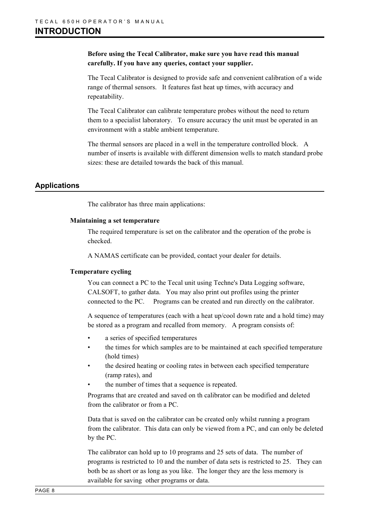## **Before using the Tecal Calibrator, make sure you have read this manual carefully. If you have any queries, contact your supplier.**

The Tecal Calibrator is designed to provide safe and convenient calibration of a wide range of thermal sensors. It features fast heat up times, with accuracy and repeatability.

The Tecal Calibrator can calibrate temperature probes without the need to return them to a specialist laboratory. To ensure accuracy the unit must be operated in an environment with a stable ambient temperature.

The thermal sensors are placed in a well in the temperature controlled block. A number of inserts is available with different dimension wells to match standard probe sizes: these are detailed towards the back of this manual.

## **Applications**

The calibrator has three main applications:

## **Maintaining a set temperature**

The required temperature is set on the calibrator and the operation of the probe is checked.

A NAMAS certificate can be provided, contact your dealer for details.

## **Temperature cycling**

You can connect a PC to the Tecal unit using Techne's Data Logging software, CALSOFT, to gather data. You may also print out profiles using the printer connected to the PC. Programs can be created and run directly on the calibrator.

A sequence of temperatures (each with a heat up/cool down rate and a hold time) may be stored as a program and recalled from memory. A program consists of:

- a series of specified temperatures
- the times for which samples are to be maintained at each specified temperature (hold times)
- the desired heating or cooling rates in between each specified temperature (ramp rates), and
- the number of times that a sequence is repeated.

Programs that are created and saved on th calibrator can be modified and deleted from the calibrator or from a PC.

Data that is saved on the calibrator can be created only whilst running a program from the calibrator. This data can only be viewed from a PC, and can only be deleted by the PC.

The calibrator can hold up to 10 programs and 25 sets of data. The number of programs is restricted to 10 and the number of data sets is restricted to 25. They can both be as short or as long as you like. The longer they are the less memory is available for saving other programs or data.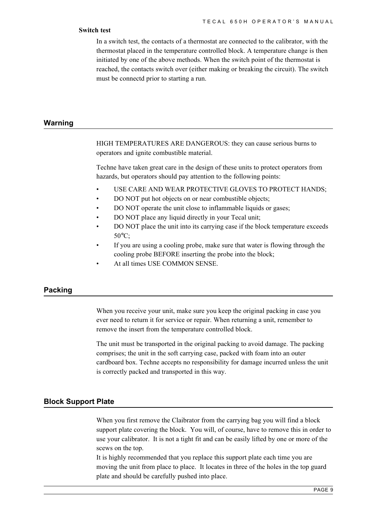## **Switch test**

In a switch test, the contacts of a thermostat are connected to the calibrator, with the thermostat placed in the temperature controlled block. A temperature change is then initiated by one of the above methods. When the switch point of the thermostat is reached, the contacts switch over (either making or breaking the circuit). The switch must be connectd prior to starting a run.

## **Warning**

HIGH TEMPERATURES ARE DANGEROUS: they can cause serious burns to operators and ignite combustible material.

Techne have taken great care in the design of these units to protect operators from hazards, but operators should pay attention to the following points:

- USE CARE AND WEAR PROTECTIVE GLOVES TO PROTECT HANDS;
- DO NOT put hot objects on or near combustible objects;
- DO NOT operate the unit close to inflammable liquids or gases;
- DO NOT place any liquid directly in your Tecal unit;
- DO NOT place the unit into its carrying case if the block temperature exceeds 50°C;
- If you are using a cooling probe, make sure that water is flowing through the cooling probe BEFORE inserting the probe into the block;
- At all times USE COMMON SENSE.

## **Packing**

When you receive your unit, make sure you keep the original packing in case you ever need to return it for service or repair. When returning a unit, remember to remove the insert from the temperature controlled block.

The unit must be transported in the original packing to avoid damage. The packing comprises; the unit in the soft carrying case, packed with foam into an outer cardboard box. Techne accepts no responsibility for damage incurred unless the unit is correctly packed and transported in this way.

## **Block Support Plate**

When you first remove the Claibrator from the carrying bag you will find a block support plate covering the block. You will, of course, have to remove this in order to use your calibrator. It is not a tight fit and can be easily lifted by one or more of the scews on the top.

It is highly recommended that you replace this support plate each time you are moving the unit from place to place. It locates in three of the holes in the top guard plate and should be carefully pushed into place.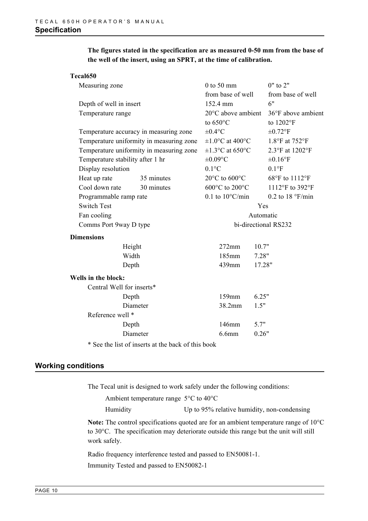## **The figures stated in the specification are as measured 0-50 mm from the base of the well of the insert, using an SPRT, at the time of calibration.**

## **Tecal650**

| Measuring zone                   |                                                                     | $0$ to 50 mm                               |           | $0"$ to $2"$       |  |  |
|----------------------------------|---------------------------------------------------------------------|--------------------------------------------|-----------|--------------------|--|--|
|                                  |                                                                     | from base of well                          |           | from base of well  |  |  |
|                                  | Depth of well in insert                                             |                                            |           | 6"                 |  |  |
| Temperature range                |                                                                     | $20^{\circ}$ C above ambient               |           | 36°F above ambient |  |  |
|                                  |                                                                     | to $650^{\circ}$ C                         |           | to 1202°F          |  |  |
|                                  | Temperature accuracy in measuring zone                              | $\pm 0.4$ °C                               |           | $\pm 0.72$ °F      |  |  |
|                                  | Temperature uniformity in measuring zone                            | $\pm 1.0$ °C at 400°C                      |           | 1.8°F at 752°F     |  |  |
|                                  | Temperature uniformity in measuring zone                            | $\pm 1.3$ °C at 650°C                      |           | 2.3°F at 1202°F    |  |  |
| Temperature stability after 1 hr |                                                                     | $\pm 0.09$ °C                              |           | $\pm 0.16$ °F      |  |  |
| Display resolution               |                                                                     | $0.1$ °C                                   |           | $0.1^{\circ}$ F    |  |  |
| Heat up rate                     | 35 minutes                                                          | $20^{\circ}$ C to $600^{\circ}$ C          |           | 68°F to 1112°F     |  |  |
| Cool down rate                   | 30 minutes                                                          | 600 $\rm ^{\circ}C$ to 200 $\rm ^{\circ}C$ |           | 1112°F to 392°F    |  |  |
| Programmable ramp rate           |                                                                     | $0.1$ to $10^{\circ}$ C/min                |           | $0.2$ to 18 °F/min |  |  |
| <b>Switch Test</b>               |                                                                     | Yes                                        |           |                    |  |  |
| Fan cooling                      |                                                                     |                                            | Automatic |                    |  |  |
| Comms Port 9way D type           |                                                                     | bi-directional RS232                       |           |                    |  |  |
| <b>Dimensions</b>                |                                                                     |                                            |           |                    |  |  |
| Height                           |                                                                     | $272$ mm<br>10.7"                          |           |                    |  |  |
| Width                            |                                                                     | 185mm                                      | 7.28"     |                    |  |  |
| Depth                            |                                                                     | 439mm                                      | 17.28"    |                    |  |  |
| Wells in the block:              |                                                                     |                                            |           |                    |  |  |
| Central Well for inserts*        |                                                                     |                                            |           |                    |  |  |
| Depth                            |                                                                     | 159mm                                      | 6.25"     |                    |  |  |
| Diameter                         |                                                                     | 38.2mm                                     | 1.5"      |                    |  |  |
| Reference well *                 |                                                                     |                                            |           |                    |  |  |
| Depth                            |                                                                     | 146mm                                      | 5.7"      |                    |  |  |
| Diameter                         |                                                                     | $6.6$ mm                                   | 0.26"     |                    |  |  |
|                                  | $\ast$ C and the U at $\ast$ C increase at the level of this leads. |                                            |           |                    |  |  |

\* See the list of inserts at the back of this book

## **Working conditions**

The Tecal unit is designed to work safely under the following conditions:

|      | Ambient temperature range $5^{\circ}$ C to 40 $^{\circ}$ C |        |  |  |  |  |
|------|------------------------------------------------------------|--------|--|--|--|--|
| $ -$ |                                                            | ______ |  |  |  |  |

Humidity Up to 95% relative humidity, non-condensing

**Note:** The control specifications quoted are for an ambient temperature range of 10°C to 30°C. The specification may deteriorate outside this range but the unit will still work safely.

Radio frequency interference tested and passed to EN50081-1. Immunity Tested and passed to EN50082-1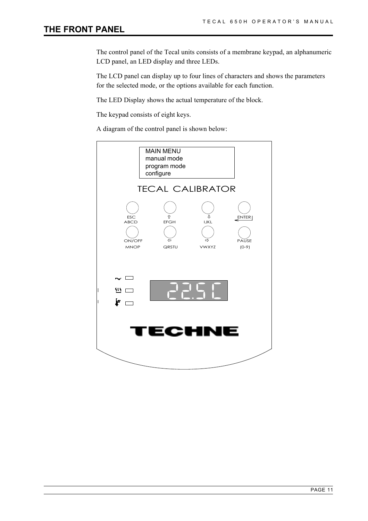## **THE FRONT PANEL**

The control panel of the Tecal units consists of a membrane keypad, an alphanumeric LCD panel, an LED display and three LEDs.

The LCD panel can display up to four lines of characters and shows the parameters for the selected mode, or the options available for each function.

The LED Display shows the actual temperature of the block.

The keypad consists of eight keys.

A diagram of the control panel is shown below:

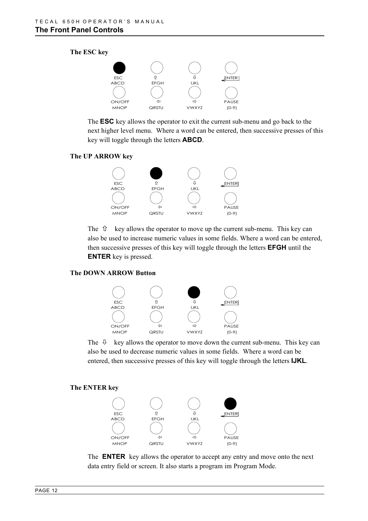## **The ESC key**



The **ESC** key allows the operator to exit the current sub-menu and go back to the next higher level menu. Where a word can be entered, then successive presses of this key will toggle through the letters **ABCD**.

## **The UP ARROW key**



The  $\hat{U}$  key allows the operator to move up the current sub-menu. This key can also be used to increase numeric values in some fields. Where a word can be entered, then successive presses of this key will toggle through the letters **EFGH** until the **ENTER** key is pressed.

## **The DOWN ARROW Button**



The  $\theta$  key allows the operator to move down the current sub-menu. This key can also be used to decrease numeric values in some fields. Where a word can be entered, then successive presses of this key will toggle through the letters **IJKL**.

#### **The ENTER key**



The **ENTER** key allows the operator to accept any entry and move onto the next data entry field or screen. It also starts a program im Program Mode.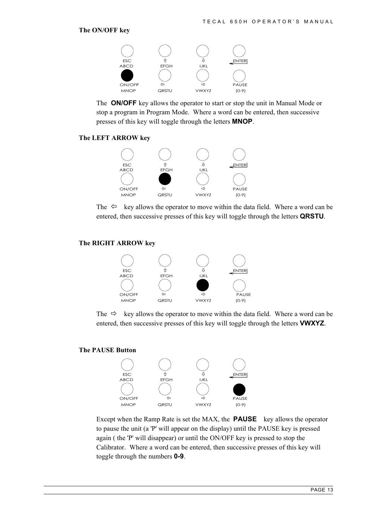## **The ON/OFF key**



The **ON/OFF** key allows the operator to start or stop the unit in Manual Mode or stop a program in Program Mode. Where a word can be entered, then successive presses of this key will toggle through the letters **MNOP**.

## **The LEFT ARROW key**



The  $\Leftrightarrow$  key allows the operator to move within the data field. Where a word can be entered, then successive presses of this key will toggle through the letters **QRSTU**.

## **The RIGHT ARROW key**



The  $\Rightarrow$  key allows the operator to move within the data field. Where a word can be entered, then successive presses of this key will toggle through the letters **VWXYZ**.

## **The PAUSE Button**



Except when the Ramp Rate is set the MAX, the **PAUSE** key allows the operator to pause the unit (a 'P' will appear on the display) until the PAUSE key is pressed again ( the 'P' will disappear) or until the ON/OFF key is pressed to stop the Calibrator. Where a word can be entered, then successive presses of this key will toggle through the numbers **0-9**.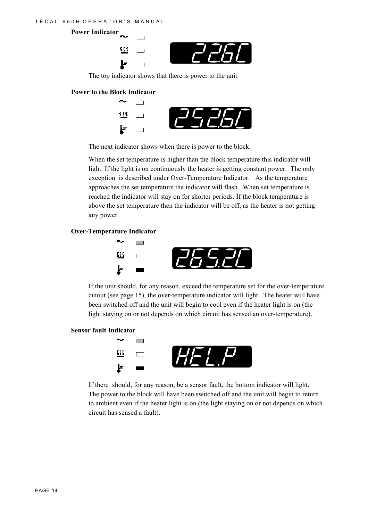**Power Indicator**  $\Box$ 111  $\Box$ Þ  $\Box$ 

The top indicator shows that there is power to the unit

## **Power to the Block Indicator**



The next indicator shows when there is power to the block.

When the set temperature is higher than the block temperature this indicator will light. If the light is on continuously the heater is getting constant power. The only exception is described under Over-Temperature Indicator. As the temperature approaches the set temperature the indicator will flash. When set temperature is reached the indicator will stay on for shorter periods. If the block temperature is above the set temperature then the indicator will be off, as the heater is not getting any power.

## **Over-Temperature Indicator**



If the unit should, for any reason, exceed the temperature set for the over-temperature cutout (see page 15), the over-temperature indicator will light. The heater will have been switched off and the unit will begin to cool even if the heater light is on (the light staying on or not depends on which circuit has sensed an over-temperature).

## **Sensor fault Indicator**



If there should, for any reason, be a sensor fault, the bottom indicator will light. The power to the block will have been switched off and the unit will begin to return to ambient even if the heater light is on (the light staying on or not depends on which circuit has sensed a fault).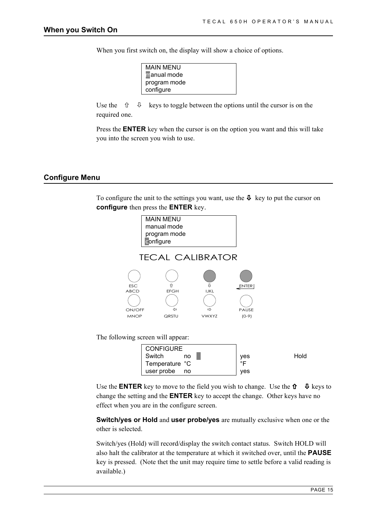When you first switch on, the display will show a choice of options.

| <b>MAIN MENU</b> |  |
|------------------|--|
| manual mode      |  |
| program mode     |  |
| configure        |  |

Use the  $\hat{U} = \hat{U}$  keys to toggle between the options until the cursor is on the required one.

Press the **ENTER** key when the cursor is on the option you want and this will take you into the screen you wish to use.

## **Configure Menu**

To configure the unit to the settings you want, use the  $\Phi$  key to put the cursor on **configure** then press the **ENTER** key.



Use the **ENTER** key to move to the field you wish to change. Use the  $\hat{\mathbf{U}}$   $\Phi$  keys to change the setting and the **ENTER** key to accept the change. Other keys have no effect when you are in the configure screen.

**Switch/yes or Hold** and **user probe/yes** are mutually exclusive when one or the other is selected.

Switch/yes (Hold) will record/display the switch contact status. Switch HOLD will also halt the calibrator at the temperature at which it switched over, until the **PAUSE** key is pressed. (Note thet the unit may require time to settle before a valid reading is available.)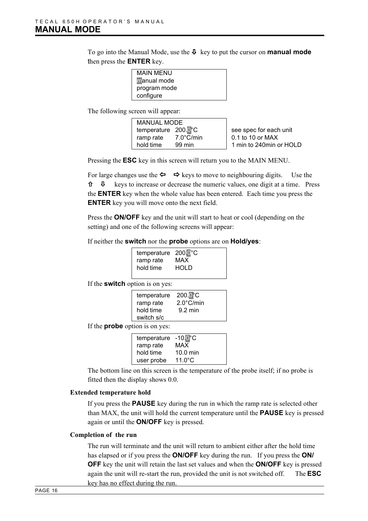To go into the Manual Mode, use the Ø key to put the cursor on **manual mode** then press the **ENTER** key.

| <b>MAIN MENU</b> |  |
|------------------|--|
| manual mode      |  |
| program mode     |  |
| configure        |  |

The following screen will appear:

| <b>MANUAL MODE</b>  |                     |                         |
|---------------------|---------------------|-------------------------|
| temperature 200.0°C |                     | see spec for each unit  |
| ramp rate           | $7.0^{\circ}$ C/min | 0.1 to 10 or MAX        |
| hold time           | 99 min              | 1 min to 240min or HOLD |

Pressing the **ESC** key in this screen will return you to the MAIN MENU.

For large changes use the  $\Leftrightarrow \Leftrightarrow$  keys to move to neighbouring digits. Use the  $\theta$  & Reys to increase or decrease the numeric values, one digit at a time. Press the **ENTER** key when the whole value has been entered. Each time you press the **ENTER** key you will move onto the next field.

Press the **ON/OFF** key and the unit will start to heat or cool (depending on the setting) and one of the following screens will appear:

If neither the **switch** nor the **probe** options are on **Hold/yes**:

| temperature 200.0°C<br>MAX<br>HOLD |
|------------------------------------|
|                                    |
|                                    |

If the **switch** option is on yes:

| temperature | 200.0 <sup>°</sup> C |  |
|-------------|----------------------|--|
| ramp rate   | $2.0^{\circ}$ C/min  |  |
| hold time   | $9.2 \text{ min}$    |  |
| switch s/c  |                      |  |
|             |                      |  |

If the **probe** option is on yes:

| temperature | $-10.0^{\circ}$ C  |
|-------------|--------------------|
| ramp rate   | MAX                |
| hold time   | $10.0 \text{ min}$ |
| user probe  | $11.0^{\circ}$ C   |

The bottom line on this screen is the temperature of the probe itself; if no probe is fitted then the display shows 0.0.

## **Extended temperature hold**

If you press the **PAUSE** key during the run in which the ramp rate is selected other than MAX, the unit will hold the current temperature until the **PAUSE** key is pressed again or until the **ON/OFF** key is pressed.

## **Completion of the run**

The run will terminate and the unit will return to ambient either after the hold time has elapsed or if you press the **ON/OFF** key during the run. If you press the **ON/ OFF** key the unit will retain the last set values and when the **ON/OFF** key is pressed again the unit will re-start the run, provided the unit is not switched off. The **ESC** key has no effect during the run.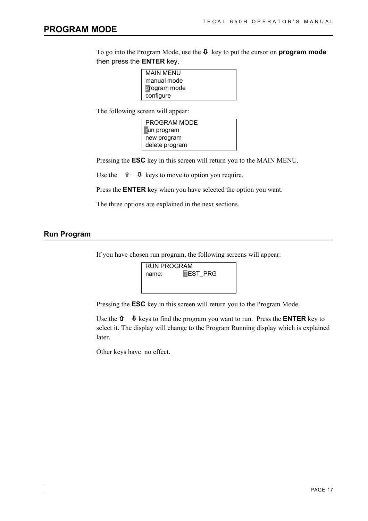To go into the Program Mode, use the Ø key to put the cursor on **program mode** then press the **ENTER** key.

| MAIN MENU           |
|---------------------|
| manual mode         |
| <b>program</b> mode |
| configure           |

The following screen will appear:

PROGRAM MODE run program new program delete program

Pressing the **ESC** key in this screen will return you to the MAIN MENU.

Use the  $\hat{\mathbf{u}}$   $\hat{\mathbf{\Phi}}$  keys to move to option you require.

Press the **ENTER** key when you have selected the option you want.

The three options are explained in the next sections.

## **Run Program**

If you have chosen run program, the following screens will appear:



Pressing the **ESC** key in this screen will return you to the Program Mode.

Use the  $\hat{\mathbf{u}}$   $\Phi$  keys to find the program you want to run. Press the **ENTER** key to select it. The display will change to the Program Running display which is explained later.

Other keys have no effect.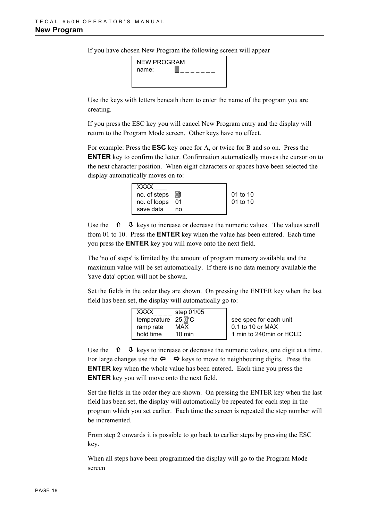If you have chosen New Program the following screen will appear

| NEW PROGRAM |  |
|-------------|--|
| name:       |  |
|             |  |
|             |  |

Use the keys with letters beneath them to enter the name of the program you are creating.

If you press the ESC key you will cancel New Program entry and the display will return to the Program Mode screen. Other keys have no effect.

For example: Press the **ESC** key once for A, or twice for B and so on. Press the **ENTER** key to confirm the letter. Confirmation automatically moves the cursor on to the next character position. When eight characters or spaces have been selected the display automatically moves on to:

| <b>XXXX</b>     |    |          |
|-----------------|----|----------|
| no. of steps 01 |    | 01 to 10 |
| no. of loops 01 |    | 01 to 10 |
| save data       | no |          |

Use the  $\hat{\mathbf{T}}$   $\Phi$  keys to increase or decrease the numeric values. The values scroll from 01 to 10. Press the **ENTER** key when the value has been entered. Each time you press the **ENTER** key you will move onto the next field.

The 'no of steps' is limited by the amount of program memory available and the maximum value will be set automatically. If there is no data memory available the 'save data' option will not be shown.

Set the fields in the order they are shown. On pressing the ENTER key when the last field has been set, the display will automatically go to:

| step 01/05                    |                          |
|-------------------------------|--------------------------|
| temperature 25.0°C            | see spec for each unit   |
| ramp rate<br>MAX              | $\vert$ 0.1 to 10 or MAX |
| $10 \text{ min}$<br>hold time | 1 min to 240min or HOLD  |

Use the  $\hat{\mathbf{\theta}}$   $\Phi$  keys to increase or decrease the numeric values, one digit at a time. For large changes use the  $\Leftrightarrow \Leftrightarrow$  keys to move to neighbouring digits. Press the **ENTER** key when the whole value has been entered. Each time you press the **ENTER** key you will move onto the next field.

Set the fields in the order they are shown. On pressing the ENTER key when the last field has been set, the display will automatically be repeated for each step in the program which you set earlier. Each time the screen is repeated the step number will be incremented.

From step 2 onwards it is possible to go back to earlier steps by pressing the ESC key.

When all steps have been programmed the display will go to the Program Mode screen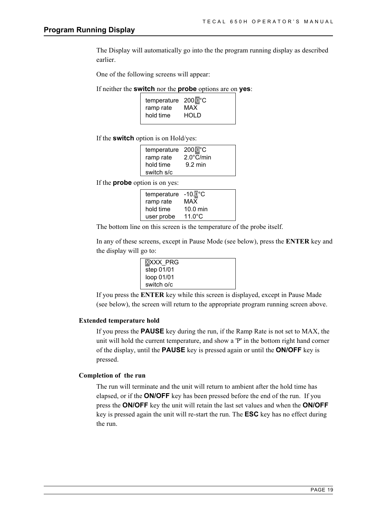The Display will automatically go into the the program running display as described earlier.

One of the following screens will appear:

If neither the **switch** nor the **probe** options are on **yes**:

| temperature 200.0°C |       |
|---------------------|-------|
| ramp rate           | MAX   |
| hold time           | HOL D |
|                     |       |

If the **switch** option is on Hold/yes:

| temperature 2000°C |                     |
|--------------------|---------------------|
| ramp rate          | $2.0^{\circ}$ C/min |
| hold time          | $9.2 \text{ min}$   |
| switch s/c         |                     |

If the **probe** option is on yes:

| temperature | $-10.0^{\circ}$ C |
|-------------|-------------------|
| ramp rate   | MAX               |
| hold time   | 10.0 min          |
| user probe  | $11.0^{\circ}$ C  |

The bottom line on this screen is the temperature of the probe itself.

In any of these screens, except in Pause Mode (see below), press the **ENTER** key and the display will go to:

| <b>XXXX PRG</b> |  |
|-----------------|--|
| step 01/01      |  |
| loop 01/01      |  |
| switch o/c      |  |

If you press the **ENTER** key while this screen is displayed, except in Pause Made (see below), the screen will return to the appropriate program running screen above.

#### **Extended temperature hold**

If you press the **PAUSE** key during the run, if the Ramp Rate is not set to MAX, the unit will hold the current temperature, and show a 'P' in the bottom right hand corner of the display, until the **PAUSE** key is pressed again or until the **ON/OFF** key is pressed.

## **Completion of the run**

The run will terminate and the unit will return to ambient after the hold time has elapsed, or if the **ON/OFF** key has been pressed before the end of the run. If you press the **ON/OFF** key the unit will retain the last set values and when the **ON/OFF** key is pressed again the unit will re-start the run. The **ESC** key has no effect during the run.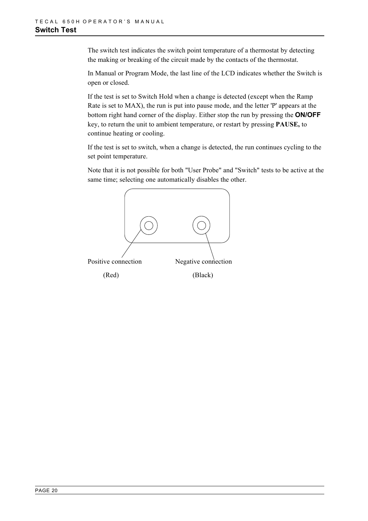The switch test indicates the switch point temperature of a thermostat by detecting the making or breaking of the circuit made by the contacts of the thermostat.

In Manual or Program Mode, the last line of the LCD indicates whether the Switch is open or closed.

If the test is set to Switch Hold when a change is detected (except when the Ramp Rate is set to MAX), the run is put into pause mode, and the letter 'P' appears at the bottom right hand corner of the display. Either stop the run by pressing the **ON/OFF** key, to return the unit to ambient temperature, or restart by pressing **PAUSE,** to continue heating or cooling.

If the test is set to switch, when a change is detected, the run continues cycling to the set point temperature.

Note that it is not possible for both "User Probe" and "Switch" tests to be active at the same time; selecting one automatically disables the other.

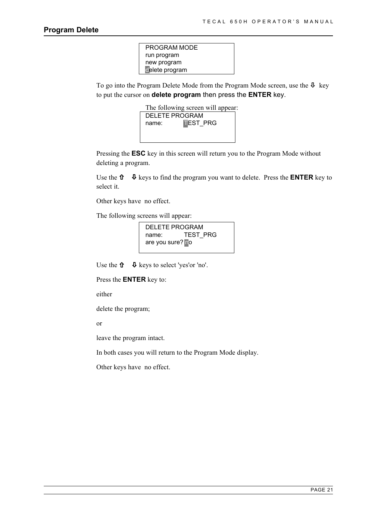| PROGRAM MODE   |
|----------------|
| run program    |
| new program    |
| delete program |
|                |

To go into the Program Delete Mode from the Program Mode screen, use the  $\Phi$  key to put the cursor on **delete program** then press the **ENTER** key.



Pressing the **ESC** key in this screen will return you to the Program Mode without deleting a program.

Use the  $\hat{\mathbf{u}}$   $\Phi$  keys to find the program you want to delete. Press the **ENTER** key to select it.

Other keys have no effect.

The following screens will appear:

| DELETE PROGRAM   |                 |  |
|------------------|-----------------|--|
| name:            | <b>TEST PRG</b> |  |
| are you sure? no |                 |  |

Use the  $\hat{\mathbf{u}}$   $\Phi$  keys to select 'yes'or 'no'.

Press the **ENTER** key to:

either

delete the program;

or

leave the program intact.

In both cases you will return to the Program Mode display.

Other keys have no effect.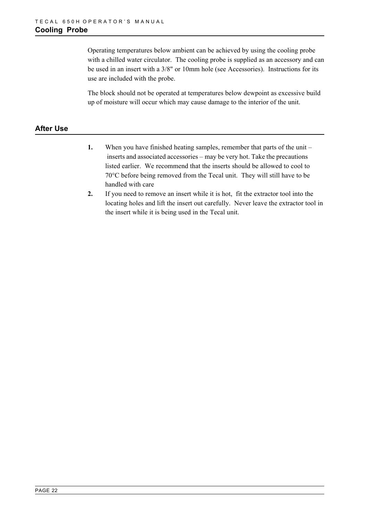Operating temperatures below ambient can be achieved by using the cooling probe with a chilled water circulator. The cooling probe is supplied as an accessory and can be used in an insert with a 3/8" or 10mm hole (see Accessories). Instructions for its use are included with the probe.

The block should not be operated at temperatures below dewpoint as excessive build up of moisture will occur which may cause damage to the interior of the unit.

## **After Use**

- **1.** When you have finished heating samples, remember that parts of the unit inserts and associated accessories – may be very hot. Take the precautions listed earlier. We recommend that the inserts should be allowed to cool to 70°C before being removed from the Tecal unit. They will still have to be handled with care
- **2.** If you need to remove an insert while it is hot, fit the extractor tool into the locating holes and lift the insert out carefully. Never leave the extractor tool in the insert while it is being used in the Tecal unit.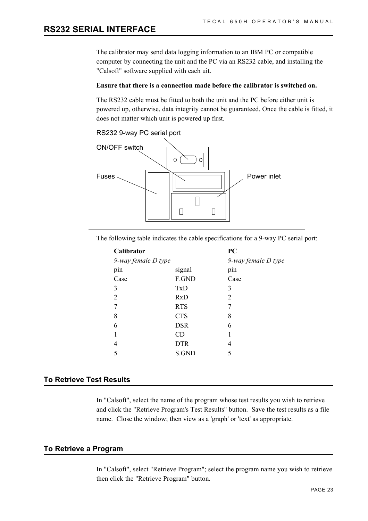The calibrator may send data logging information to an IBM PC or compatible computer by connecting the unit and the PC via an RS232 cable, and installing the "Calsoft" software supplied with each uit.

## **Ensure that there is a connection made before the calibrator is switched on.**

The RS232 cable must be fitted to both the unit and the PC before either unit is powered up, otherwise, data integrity cannot be guaranteed. Once the cable is fitted, it does not matter which unit is powered up first.

## RS232 9-way PC serial port



The following table indicates the cable specifications for a 9-way PC serial port:

|                     | PC                  |
|---------------------|---------------------|
| 9-way female D type | 9-way female D type |
| signal              | pin                 |
| F.GND               | Case                |
| TxD                 | 3                   |
| <b>RxD</b>          | 2                   |
| <b>RTS</b>          |                     |
| <b>CTS</b>          | 8                   |
| <b>DSR</b>          | 6                   |
| CD                  |                     |
| <b>DTR</b>          | 4                   |
| S.GND               | 5                   |
|                     |                     |

## **To Retrieve Test Results**

In "Calsoft", select the name of the program whose test results you wish to retrieve and click the "Retrieve Program's Test Results" button. Save the test results as a file name. Close the window; then view as a 'graph' or 'text' as appropriate.

#### **To Retrieve a Program**

In "Calsoft", select "Retrieve Program"; select the program name you wish to retrieve then click the "Retrieve Program" button.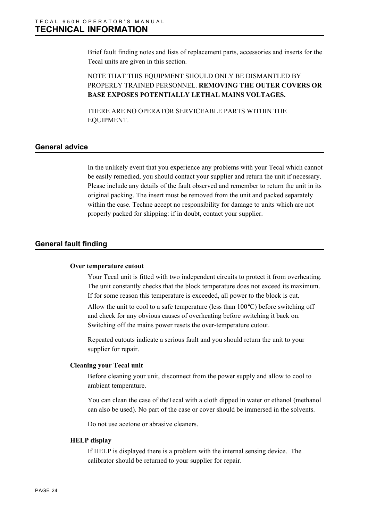Brief fault finding notes and lists of replacement parts, accessories and inserts for the Tecal units are given in this section.

## NOTE THAT THIS EQUIPMENT SHOULD ONLY BE DISMANTLED BY PROPERLY TRAINED PERSONNEL. **REMOVING THE OUTER COVERS OR BASE EXPOSES POTENTIALLY LETHAL MAINS VOLTAGES.**

THERE ARE NO OPERATOR SERVICEABLE PARTS WITHIN THE EQUIPMENT.

## **General advice**

In the unlikely event that you experience any problems with your Tecal which cannot be easily remedied, you should contact your supplier and return the unit if necessary. Please include any details of the fault observed and remember to return the unit in its original packing. The insert must be removed from the unit and packed separately within the case. Techne accept no responsibility for damage to units which are not properly packed for shipping: if in doubt, contact your supplier.

## **General fault finding**

#### **Over temperature cutout**

Your Tecal unit is fitted with two independent circuits to protect it from overheating. The unit constantly checks that the block temperature does not exceed its maximum. If for some reason this temperature is exceeded, all power to the block is cut.

Allow the unit to cool to a safe temperature (less than 100°C) before switching off and check for any obvious causes of overheating before switching it back on. Switching off the mains power resets the over-temperature cutout.

Repeated cutouts indicate a serious fault and you should return the unit to your supplier for repair.

## **Cleaning your Tecal unit**

Before cleaning your unit, disconnect from the power supply and allow to cool to ambient temperature.

You can clean the case of theTecal with a cloth dipped in water or ethanol (methanol can also be used). No part of the case or cover should be immersed in the solvents.

Do not use acetone or abrasive cleaners.

#### **HELP display**

If HELP is displayed there is a problem with the internal sensing device. The calibrator should be returned to your supplier for repair.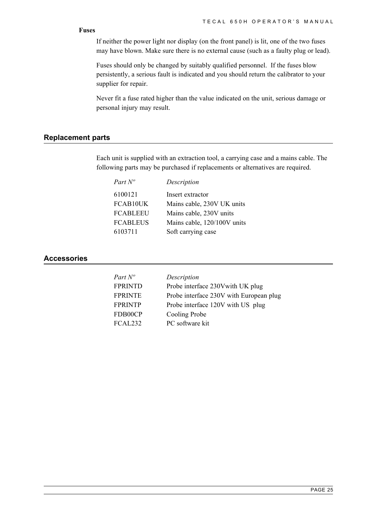## **Fuses**

If neither the power light nor display (on the front panel) is lit, one of the two fuses may have blown. Make sure there is no external cause (such as a faulty plug or lead).

Fuses should only be changed by suitably qualified personnel. If the fuses blow persistently, a serious fault is indicated and you should return the calibrator to your supplier for repair.

Never fit a fuse rated higher than the value indicated on the unit, serious damage or personal injury may result.

## **Replacement parts**

Each unit is supplied with an extraction tool, a carrying case and a mains cable. The following parts may be purchased if replacements or alternatives are required.

| Part $N^o$      | Description                 |
|-----------------|-----------------------------|
| 6100121         | Insert extractor            |
| FCAB10UK        | Mains cable, 230V UK units  |
| <b>FCABLEEU</b> | Mains cable, 230V units     |
| <b>FCABLEUS</b> | Mains cable, 120/100V units |
| 6103711         | Soft carrying case          |
|                 |                             |

## **Accessories**

| Part N°        | Description                             |
|----------------|-----------------------------------------|
| <b>FPRINTD</b> | Probe interface 230V with UK plug       |
| <b>FPRINTE</b> | Probe interface 230V with European plug |
| <b>FPRINTP</b> | Probe interface 120V with US plug       |
| FDB00CP        | Cooling Probe                           |
| FCAL232        | PC software kit                         |
|                |                                         |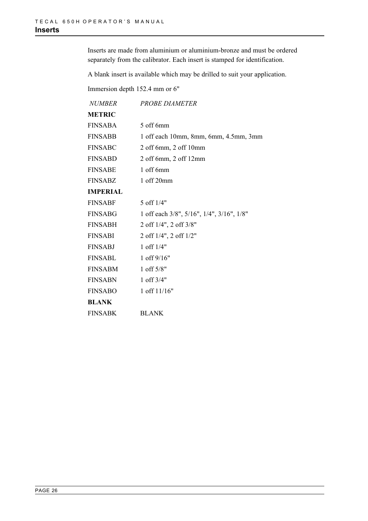Inserts are made from aluminium or aluminium-bronze and must be ordered separately from the calibrator. Each insert is stamped for identification.

A blank insert is available which may be drilled to suit your application.

Immersion depth 152.4 mm or 6"

| <b>NUMBER</b>   | <b>PROBE DIAMETER</b>                     |
|-----------------|-------------------------------------------|
| <b>METRIC</b>   |                                           |
| <b>FINSABA</b>  | 5 off 6mm                                 |
| <b>FINSABB</b>  | 1 off each 10mm, 8mm, 6mm, 4.5mm, 3mm     |
| <b>FINSABC</b>  | $2$ off 6mm, $2$ off 10mm                 |
| <b>FINSABD</b>  | 2 off 6mm, 2 off 12mm                     |
| <b>FINSABE</b>  | 1 off 6mm                                 |
| <b>FINSABZ</b>  | 1 off 20mm                                |
| <b>IMPERIAL</b> |                                           |
| <b>FINSABF</b>  | 5 off 1/4"                                |
| <b>FINSABG</b>  | 1 off each 3/8", 5/16", 1/4", 3/16", 1/8" |
| FINSABH         | 2 off 1/4", 2 off 3/8"                    |
| <b>FINSABI</b>  | 2 off 1/4", 2 off 1/2"                    |
| FINSABJ         | 1 off $1/4"$                              |
| <b>FINSABL</b>  | 1 off $9/16"$                             |
| <b>FINSABM</b>  | 1 off 5/8"                                |
| <b>FINSABN</b>  | 1 off $3/4"$                              |
| <b>FINSABO</b>  | 1 off 11/16"                              |
| BLANK           |                                           |
| <b>FINSABK</b>  | <b>BLANK</b>                              |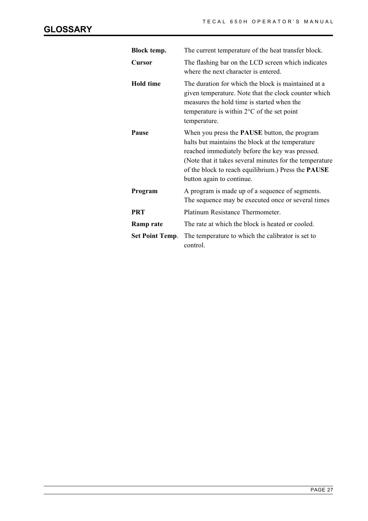| Block temp.            | The current temperature of the heat transfer block.                                                                                                                                                                                                                                                              |
|------------------------|------------------------------------------------------------------------------------------------------------------------------------------------------------------------------------------------------------------------------------------------------------------------------------------------------------------|
| Cursor                 | The flashing bar on the LCD screen which indicates<br>where the next character is entered.                                                                                                                                                                                                                       |
| <b>Hold time</b>       | The duration for which the block is maintained at a<br>given temperature. Note that the clock counter which<br>measures the hold time is started when the<br>temperature is within $2^{\circ}$ C of the set point<br>temperature.                                                                                |
| Pause                  | When you press the <b>PAUSE</b> button, the program<br>halts but maintains the block at the temperature<br>reached immediately before the key was pressed.<br>(Note that it takes several minutes for the temperature<br>of the block to reach equilibrium.) Press the <b>PAUSE</b><br>button again to continue. |
| Program                | A program is made up of a sequence of segments.<br>The sequence may be executed once or several times                                                                                                                                                                                                            |
| <b>PRT</b>             | Platinum Resistance Thermometer.                                                                                                                                                                                                                                                                                 |
| <b>Ramp rate</b>       | The rate at which the block is heated or cooled.                                                                                                                                                                                                                                                                 |
| <b>Set Point Temp.</b> | The temperature to which the calibrator is set to<br>control.                                                                                                                                                                                                                                                    |